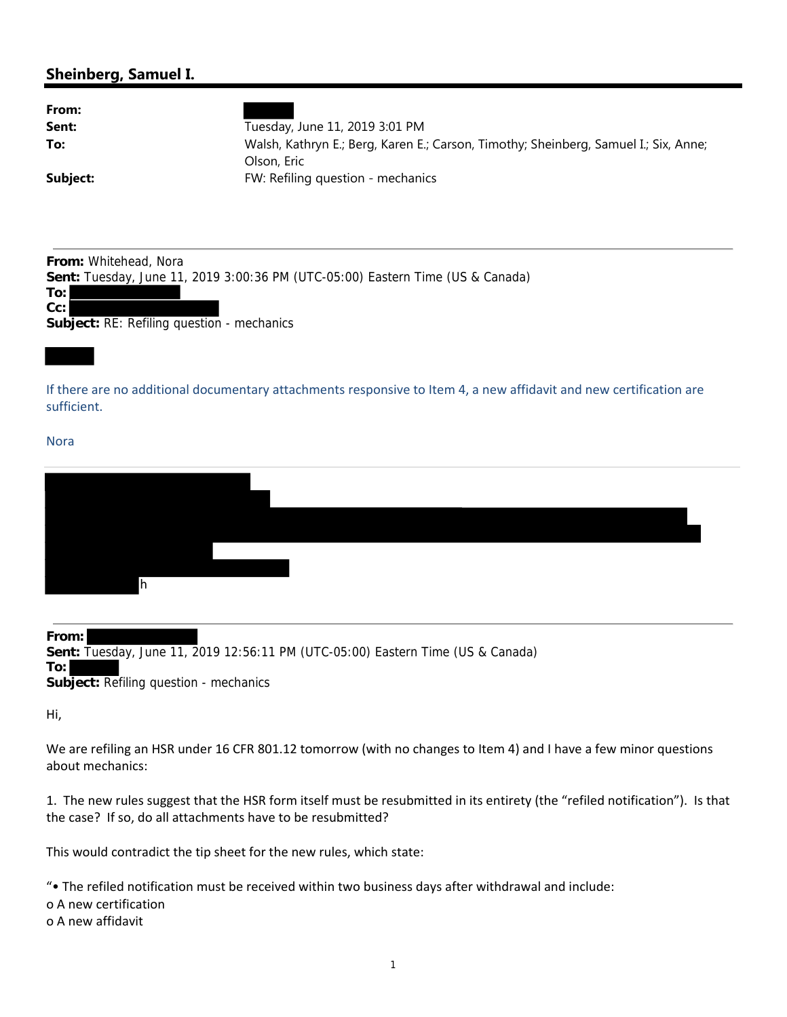## **Sheinberg, Samuel I.**

| From:<br>Sent:<br>To:                                                                                                                                                                 | Tuesday, June 11, 2019 3:01 PM<br>Walsh, Kathryn E.; Berg, Karen E.; Carson, Timothy; Sheinberg, Samuel I.; Six, Anne;<br>Olson, Eric |  |  |  |  |
|---------------------------------------------------------------------------------------------------------------------------------------------------------------------------------------|---------------------------------------------------------------------------------------------------------------------------------------|--|--|--|--|
| Subject:                                                                                                                                                                              | FW: Refiling question - mechanics                                                                                                     |  |  |  |  |
| <b>From:</b> Whitehead, Nora<br>Sent: Tuesday, June 11, 2019 3:00:36 PM (UTC-05:00) Eastern Time (US & Canada)<br>To: l<br> Cc: <br><b>Subject: RE: Refiling question - mechanics</b> |                                                                                                                                       |  |  |  |  |
|                                                                                                                                                                                       |                                                                                                                                       |  |  |  |  |
|                                                                                                                                                                                       |                                                                                                                                       |  |  |  |  |
| If there are no additional documentary attachments responsive to Item 4, a new affidavit and new certification are<br>sufficient.                                                     |                                                                                                                                       |  |  |  |  |
| <b>Nora</b>                                                                                                                                                                           |                                                                                                                                       |  |  |  |  |

**From: Sent:** Tuesday, June 11, 2019 12:56:11 PM (UTC-05:00) Eastern Time (US & Canada) **To: Subject:** Refiling question - mechanics

Hi,

We are refiling an HSR under 16 CFR 801.12 tomorrow (with no changes to Item 4) and I have a few minor questions about mechanics:

1. The new rules suggest that the HSR form itself must be resubmitted in its entirety (the "refiled notification"). Is that the case? If so, do all attachments have to be resubmitted?

This would contradict the tip sheet for the new rules, which state:

"• The refiled notification must be received within two business days after withdrawal and include:

o A new certification

o A new affidavit